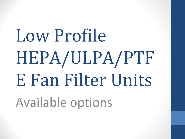# Low Profile HEPA/ULPA/PTF E Fan Filter Units Available options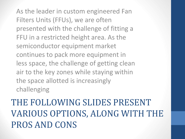As the leader in custom engineered Fan Filters Units (FFUs), we are often presented with the challenge of fitting a FFU in a restricted height area. As the semiconductor equipment market continues to pack more equipment in less space, the challenge of getting clean air to the key zones while staying within the space allotted is increasingly challenging

THE FOLLOWING SLIDES PRESENT VARIOUS OPTIONS, ALONG WITH THE PROS AND CONS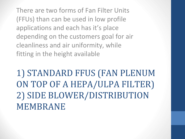There are two forms of Fan Filter Units (FFUs) than can be used in low profile applications and each has it's place depending on the customers goal for air cleanliness and air uniformity, while fitting in the height available

1) STANDARD FFUS (FAN PLENUM ON TOP OF A HEPA/ULPA FILTER) 2) SIDE BLOWER/DISTRIBUTION MEMBRANE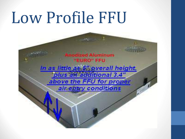#### Low Profile FFU

nodized Aluminum **EURO" FFU** In as little as 5" overall height. plus an additional 3.4" above the FFU for proper air entry conditions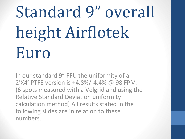### Standard 9" overall height Airflotek Euro

In our standard 9" FFU the uniformity of a 2'X4' PTFE version is +4.8%/-4.4% @ 98 FPM. (6 spots measured with a Velgrid and using the Relative Standard Deviation uniformity calculation method) All results stated in the following slides are in relation to these numbers.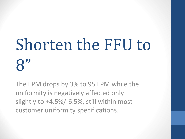### Shorten the FFU to 8"

The FPM drops by 3% to 95 FPM while the uniformity is negatively affected only slightly to +4.5%/-6.5%, still within most customer uniformity specifications.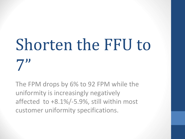## Shorten the FFU to  $7"$

The FPM drops by 6% to 92 FPM while the uniformity is increasingly negatively affected to +8.1%/-5.9%, still within most customer uniformity specifications.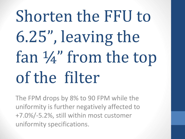## Shorten the FFU to 6.25", leaving the fan ¼" from the top of the filter

The FPM drops by 8% to 90 FPM while the uniformity is further negatively affected to +7.0%/-5.2%, still within most customer uniformity specifications.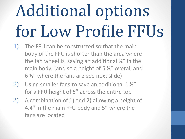#### Additional options for Low Profile FFUs

- 1) The FFU can be constructed so that the main body of the FFU is shorter than the area where the fan wheel is, saving an additional ¾" in the main body. (and so a height of 5 ½" overall and 6 ¼" where the fans are-see next slide)
- 2) Using smaller fans to save an additional 1 1/4" for a FFU height of 5" across the entire top
- 3) A combination of 1) and 2) allowing a height of 4.4" in the main FFU body and 5" where the fans are located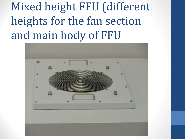Mixed height FFU (different heights for the fan section and main body of FFU

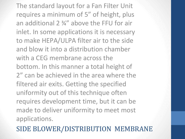The standard layout for a Fan Filter Unit requires a minimum of 5" of height, plus an additional 2 ¾" above the FFU for air inlet. In some applications it is necessary to make HEPA/ULPA filter air to the side and blow it into a distribution chamber with a CEG membrane across the bottom. In this manner a total height of 2" can be achieved in the area where the filtered air exits. Getting the specified uniformity out of this technique often requires development time, but it can be made to deliver uniformity to meet most applications.

SIDE BLOWER/DISTRIBUTION MEMBRANE